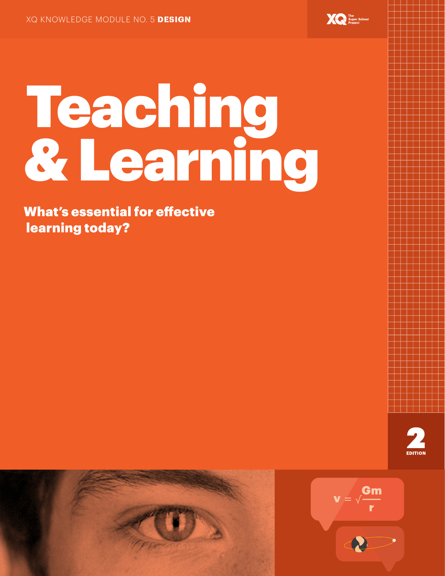

# Teaching & Learning

What's essential for effective learning today?





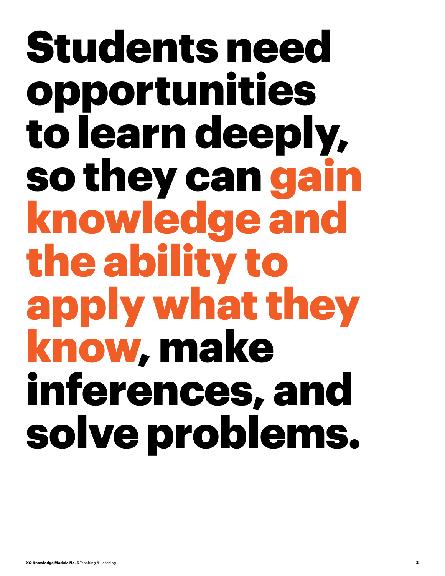## Students need opportunities to learn deeply, so they can gain knowledge and the ability to apply what they know, make inferences, and solve problems.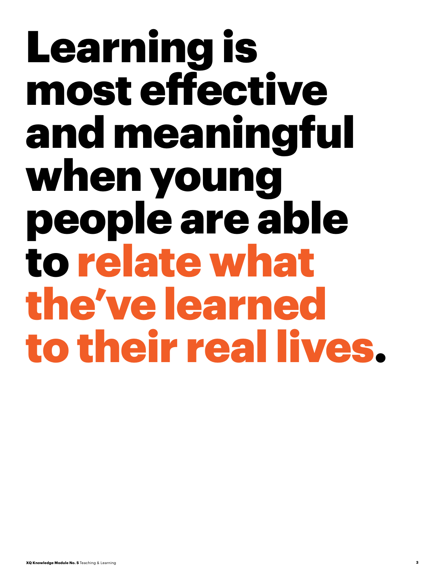## Learning is most effective and meaningful when young people are able to relate what the've learned to their real lives.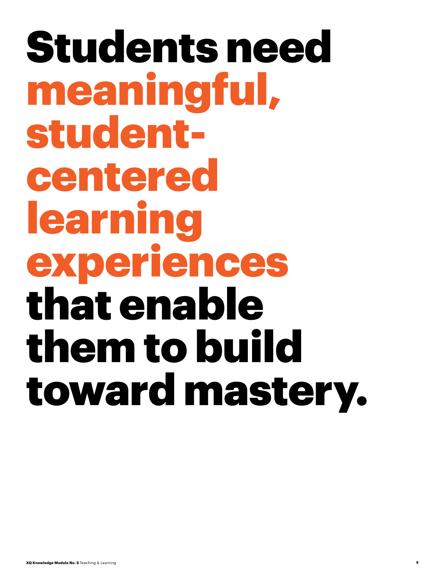Students need meaningful, studentcentered learning experiences that enable them to build toward mastery.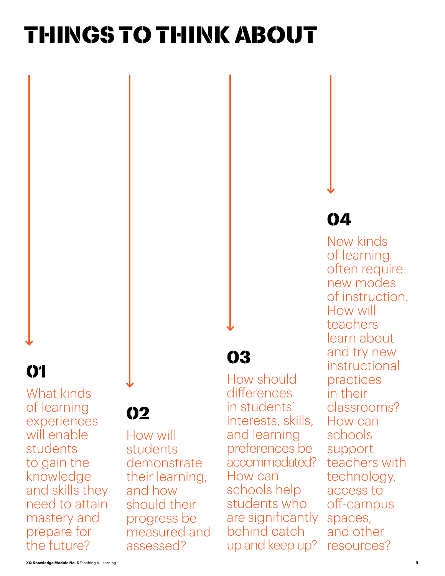## Things to Think About

## **01**

What kinds of learning experiences will enable students to gain the knowledge and skills they need to attain mastery and prepare for the future?

## 02

How will students demonstrate their learning, and how should their progress be measured and assessed?

### 03

How should differences in students' interests, skills, and learning preferences be accommodated? How can schools help students who are significantly behind catch up and keep up?

### 04

New kinds of learning often require new modes of instruction. How will teachers learn about and try new instructional practices in their classrooms? How can schools support teachers with technology, access to off-campus spaces, and other resources?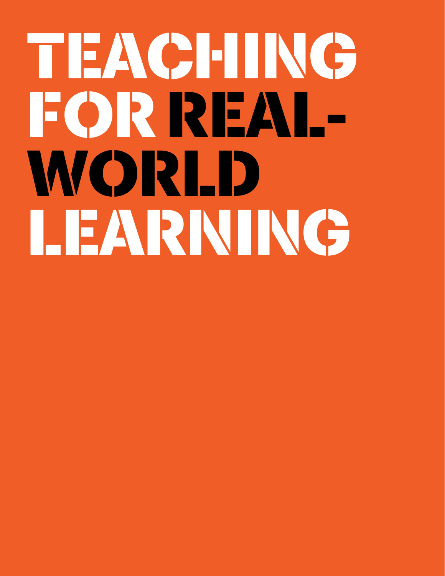# TEACHING FOR REAL-WORLD LEARNING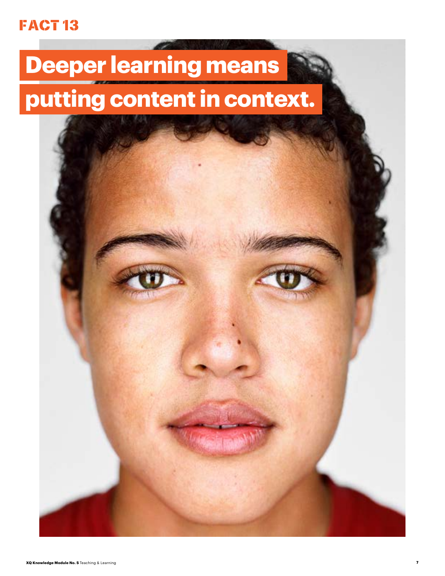### FACT<sub>13</sub>

## **Deeper learning means putting content in context.**

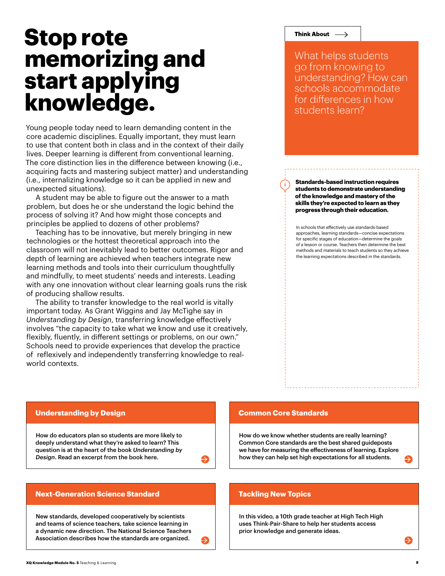## **Stop rote memorizing and start applying knowledge.**

Young people today need to learn demanding content in the core academic disciplines. Equally important, they must learn to use that content both in class and in the context of their daily lives. Deeper learning is different from conventional learning. The core distinction lies in the difference between knowing (i.e., acquiring facts and mastering subject matter) and understanding (i.e., internalizing knowledge so it can be applied in new and unexpected situations).

A student may be able to figure out the answer to a math problem, but does he or she understand the logic behind the process of solving it? And how might those concepts and principles be applied to dozens of other problems?

Teaching has to be innovative, but merely bringing in new technologies or the hottest theoretical approach into the classroom will not inevitably lead to better outcomes. Rigor and depth of learning are achieved when teachers integrate new learning methods and tools into their curriculum thoughtfully and mindfully, to meet students' needs and interests. Leading with any one innovation without clear learning goals runs the risk of producing shallow results.

The ability to transfer knowledge to the real world is vitally important today. As Grant Wiggins and Jay McTighe say in *Understanding by Design*, transferring knowledge effectively involves "the capacity to take what we know and use it creatively, flexibly, fluently, in different settings or problems, on our own." Schools need to provide experiences that develop the practice of reflexively and independently transferring knowledge to realworld contexts.

#### Think About  $\longrightarrow$

What helps students go from knowing to understanding? How can schools accommodate for differences in how students learn?

**Standards-based instruction requires students to demonstrate understanding of the knowledge and mastery of the skills they're expected to learn as they progress through their education.**

In schools that effectively use standards-based approaches, learning standards—concise expectations for specific stages of education—determine the goals of a lesson or course. Teachers then determine the best methods and materials to teach students so they achieve the learning expectations described in the standards.

#### **Understanding by Design**

[How do educators plan so students are more likely to](http://xqsuperschool.org/knowledge-modules/link/5-1)  deeply understand what they're asked to learn? This question is at the heart of the book *Understanding by Design*. Read an excerpt from the book here.

#### **Next-Generation Science Standard**

New standards, developed cooperatively by scientists and teams of science teachers, take science learning in [a dynamic new direction. The National Science Teachers](http://xqsuperschool.org/knowledge-modules/link/5-3)  Association describes how the standards are organized.

#### **Common Core Standards**

How do we know whether students are really learning? Common Core standards are the best shared guideposts [we have for measuring the effectiveness of learning. Explore](http://xqsuperschool.org/knowledge-modules/link/5-2)  how they can help set high expectations for all students.

#### **Tackling New Topics**

 $\boldsymbol{\Theta}$ 

[In this video, a 10th grade teacher at High Tech High](http://xqsuperschool.org/knowledge-modules/link/5-4) uses Think-Pair-Share to help her students access prior knowledge and generate ideas.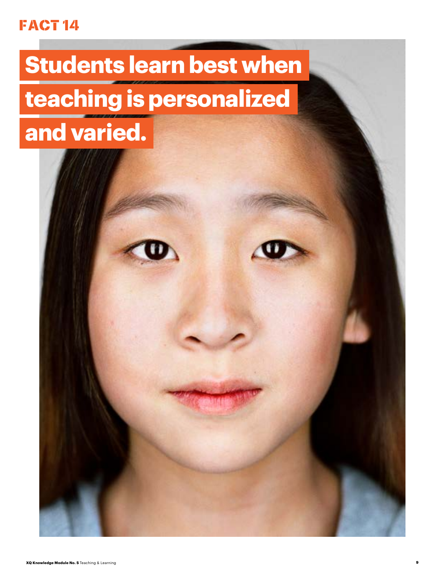#### **FACT 14**

## **Students learn best when teaching is personalized and varied.**

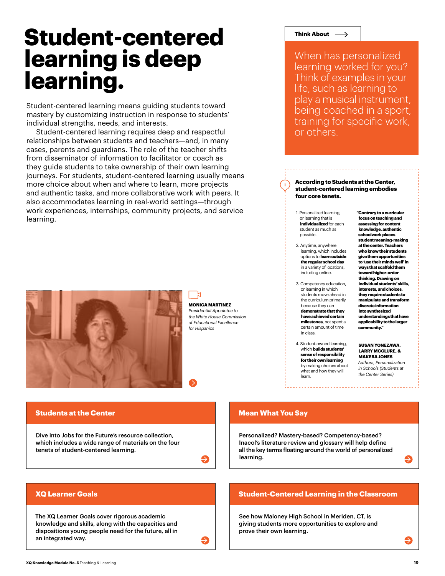## **Student-centered learning is deep learning.**

Student-centered learning means guiding students toward mastery by customizing instruction in response to students' individual strengths, needs, and interests.

Student-centered learning requires deep and respectful relationships between students and teachers—and, in many cases, parents and guardians. The role of the teacher shifts from disseminator of information to facilitator or coach as they guide students to take ownership of their own learning journeys. For students, student-centered learning usually means more choice about when and where to learn, more projects and authentic tasks, and more collaborative work with peers. It also accommodates learning in real-world settings—through work experiences, internships, community projects, and service learning.



**MONICA MARTINEZ** *Presidential Appointee to the White House Commission of Educational Excellence for Hispanics*

Ð

#### Think About  $\longrightarrow$

When has personalized learning worked for you? Think of examples in your life, such as learning to play a musical instrument, being coached in a sport, training for specific work, or others.

#### **According to Students at the Center, student-centered learning embodies four core tenets.**

- 1. Personalized learning, or learning that is **individualized** for each student as much as possible.
- 2. Anytime, anywhere learning, which includes options to **learn outside the regular school day** in a variety of locations, including online.
- 3. Competency education, or learning in which students move ahead in the curriculum primarily because they can **demonstrate that they have achieved certain milestones**, not spent a certain amount of time in class.
- 4. Student-owned learning, which **builds students' sense of responsibility for their own learning** by making choices about what and how they will learn.

**"Contrary to a curricular focus on teaching and assessing for content knowledge, authentic schoolwork places student meaning-making at the center. Teachers who know their students give them opportunities to 'use their minds well' in ways that scaffold them toward higher-order thinking. Drawing on individual students' skills, interests, and choices, they require students to manipulate and transform discrete information into synthesized understandings that have applicability to the larger community."**

#### **SUSAN YONEZAWA, LARRY MCCLURE, & MAKEBA JONES**

*Authors, Personalization in Schools (Students at the Center Series)*

#### **Students at the Center**

Dive into Jobs for the Future's resource collection, [which includes a wide range of materials on the four](http://xqsuperschool.org/knowledge-modules/link/5-6) tenets of student-centered learning.

#### **Mean What You Say**

Personalized? Mastery-based? Competency-based? Inacol's literature review and glossary will help define [all the key terms floating around the world of personalized](http://xqsuperschool.org/knowledge-modules/link/5-7)  learning.

#### **[Student-Centered Learning in the Classroom](http://xqsuperschool.org/knowledge-modules/link/5-9)**

See how Maloney High School in Meriden, CT, is giving students more opportunities to explore and prove their own learning.

#### **XQ Learner Goals**

The XQ Learner Goals cover rigorous academic [knowledge and skills, along with the capacities and](https://xqsuperschool.org/knowledge-modules/link/5-8)  dispositions young people need for the future, all in an integrated way.

**XQ Knowledge Module No. 5** Teaching & Learning **10**

 $\rightarrow$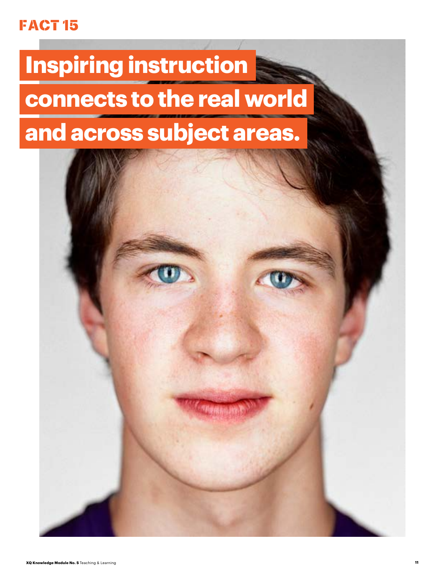#### FACT 15

## **Inspiring instruction connects to the real world and across subject areas.**

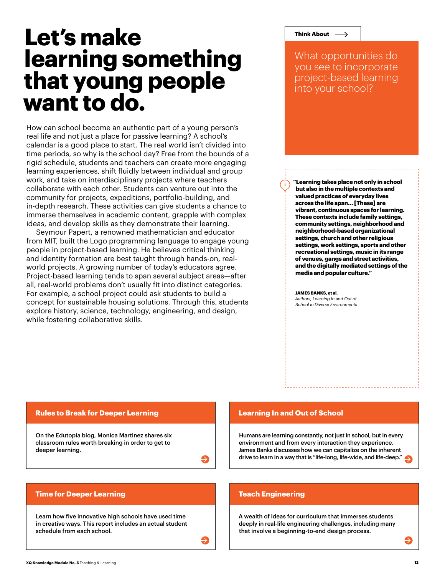## **Let's make learning something that young people want to do.**

How can school become an authentic part of a young person's real life and not just a place for passive learning? A school's calendar is a good place to start. The real world isn't divided into time periods, so why is the school day? Free from the bounds of a rigid schedule, students and teachers can create more engaging learning experiences, shift fluidly between individual and group work, and take on interdisciplinary projects where teachers collaborate with each other. Students can venture out into the community for projects, expeditions, portfolio-building, and in-depth research. These activities can give students a chance to immerse themselves in academic content, grapple with complex ideas, and develop skills as they demonstrate their learning.

Seymour Papert, a renowned mathematician and educator from MIT, built the Logo programming language to engage young people in project-based learning. He believes critical thinking and identity formation are best taught through hands-on, realworld projects. A growing number of today's educators agree. Project-based learning tends to span several subject areas—after all, real-world problems don't usually fit into distinct categories. For example, a school project could ask students to build a concept for sustainable housing solutions. Through this, students explore history, science, technology, engineering, and design, while fostering collaborative skills.

#### Think About  $\longrightarrow$

What opportunities do you see to incorporate project-based learning into your school?

**"Learning takes place not only in school but also in the multiple contexts and valued practices of everyday lives across the life span… [These] are vibrant, continuous spaces for learning. These contexts include family settings, community settings, neighborhood and neighborhood-based organizational settings, church and other religious settings, work settings, sports and other recreational settings, music in its range of venues, gangs and street activities, and the digitally mediated settings of the media and popular culture."**

#### **JAMES BANKS, et al.**

*Authors, Learning In and Out of School in Diverse Environments*

#### **[Rules to Break for Deeper Learning](http://xqsuperschool.org/knowledge-modules/link/5-10)**

On the Edutopia blog, Monica Martinez shares six classroom rules worth breaking in order to get to deeper learning.

Learn how five innovative high schools have used time [in creative ways. This report includes an actual student](http://xqsuperschool.org/knowledge-modules/link/5-12) 

#### **Learning In and Out of School**

[Humans are learning constantly, not just in school, but in every](http://xqsuperschool.org/knowledge-modules/link/5-11) environment and from every interaction they experience. James Banks discusses how we can capitalize on the inherent drive to learn in a way that is "life-long, life-wide, and life-deep."

#### **Teach Engineering**

 $\boldsymbol{\Theta}$ 

A wealth of ideas for curriculum that immerses students [deeply in real-life engineering challenges, including many](http://xqsuperschool.org/knowledge-modules/link/5-13)  that involve a beginning-to-end design process.

schedule from each school.

**Time for Deeper Learning**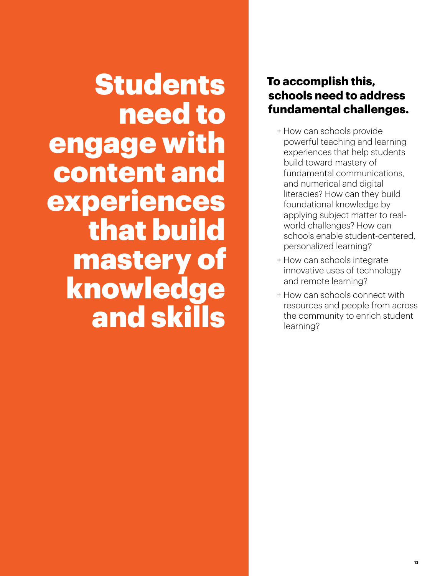**Students** need to engage with content and experiences that build mastery of knowledge and skills

#### **To accomplish this, schools need to address fundamental challenges.**

- + How can schools provide powerful teaching and learning experiences that help students build toward mastery of fundamental communications, and numerical and digital literacies? How can they build foundational knowledge by applying subject matter to realworld challenges? How can schools enable student-centered, personalized learning?
- + How can schools integrate innovative uses of technology and remote learning?
- + How can schools connect with resources and people from across the community to enrich student learning?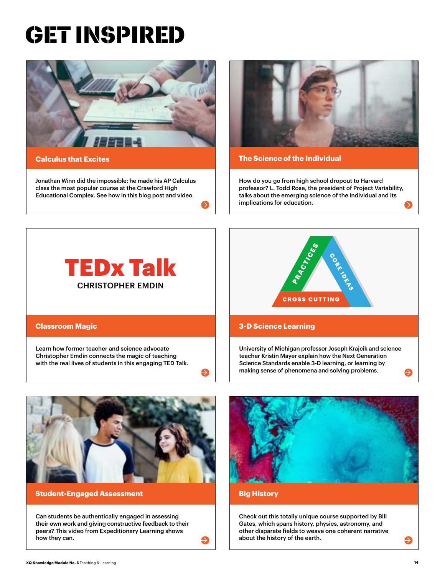## GET INSPIRED





[Jonathan Winn did the impossible: he made his AP Calculus](http://xqsuperschool.org/knowledge-modules/link/5-14)  class the most popular course at the Crawford High Educational Complex. See how in this blog post and video.



#### **The Science of the Individual**

How do you go from high school dropout to Harvard [professor? L. Todd Rose, the president of Project Variability,](http://xqsuperschool.org/knowledge-modules/link/5-15)  talks about the emerging science of the individual and its implications for education.





#### **Classroom Magic**

Learn how former teacher and science advocate Christopher Emdin connects the magic of teaching with the real lives of students in this engaging TED Talk.



#### **3-D Science Learning**

[University of Michigan professor Joseph Krajcik and science](http://xqsuperschool.org/knowledge-modules/link/5-17)  teacher Kristin Mayer explain how the Next Generation Science Standards enable 3-D learning, or learning by making sense of phenomena and solving problems.



#### **Student-Engaged Assessment**

Can students be authentically engaged in assessing [their own work and giving constructive feedback to their](http://xqsuperschool.org/knowledge-modules/link/5-18)  peers? This video from Expeditionary Learning shows how they can.



#### **Big History**

Ð

Check out this totally unique course supported by Bill Gates, which spans history, physics, astronomy, and [other disparate fields to weave one coherent narrative](http://xqsuperschool.org/knowledge-modules/link/5-19)  about the history of the earth.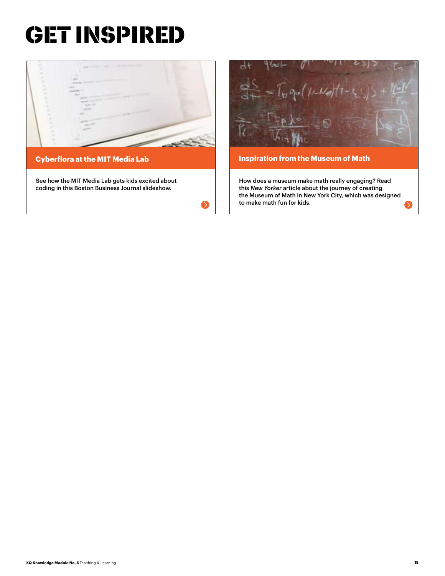## GET INSPIRED



 $\bullet$ 



How does a museum make math really engaging? Read this *New Yorker* article about the journey of creating the Museum of Math in New York City, which was designed to make math fun for kids.

Ð